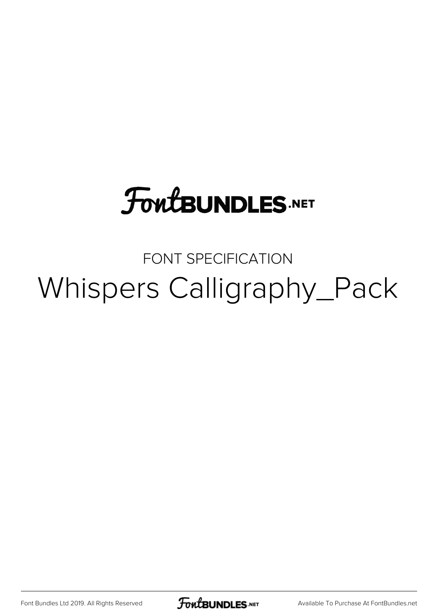# **FoutBUNDLES.NET**

# FONT SPECIFICATION Whispers Calligraphy\_Pack

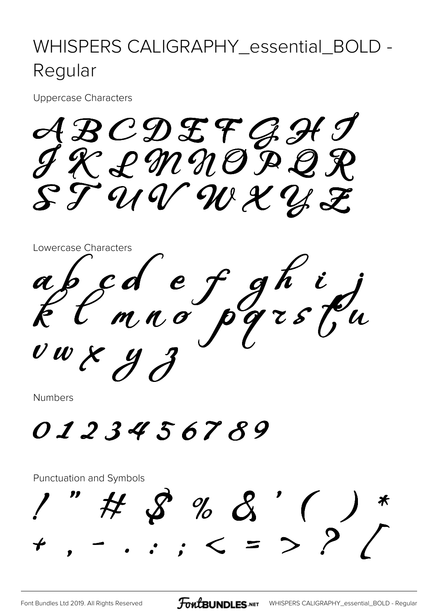## WHISPERS CALIGRAPHY\_essential\_BOLD -Regular

**Uppercase Characters** 

ABCDEFGHJ<br>IRLMNOPQR  $\mathcal{E}\mathcal{T}$ UVWXYZ



**Numbers** 

# 0123456789

#### Punctuation and Symbols

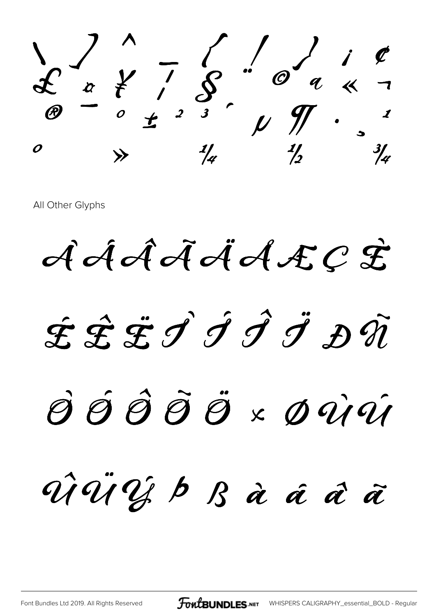**\ ] ^ \_ { | } ¡ ¢ £ ¤ ¥ ¦ § ¨ © ª « ¬ ® ¯ ° ± ² ³ ´ µ ¶ · ¸ ¹**  $\begin{array}{ccc} 0 & & \rightarrow & \frac{1}{4} & \frac{1}{2} & \frac{3}{4} \end{array}$ 

**ÀÁÂÃÄÅÆÇ È**

**É Ê ËÌ Í Î Ï Ð Ñ**

# **Ò Ó Ô Õ Ö × Ø ÙÚ**

**ÛÜÝ Þ ß à á â ã**

[Font Bundles Ltd 2019. All Rights Reserved](https://fontbundles.net/) **FoutBUNDLES.net** [WHISPERS CALIGRAPHY\\_essential\\_BOLD - Regular](https://fontbundles.net/)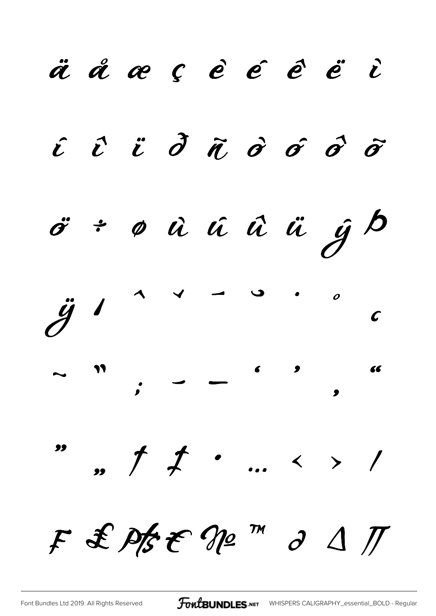ä å æ ç è é é ë i  $\hat{i}$   $\hat{i}$   $\hat{d}$   $\hat{d}$   $\hat{\sigma}$   $\hat{\sigma}$   $\hat{\sigma}$ ö÷øûúûü jb  $\ddot{g}$  $\boldsymbol{o}$  $\boldsymbol{\mathcal{C}}$ ,,  $\uparrow$   $\downarrow$  ... < > / F & Pfst Nº m d 1 I

**FoutBUNDLES**.NET WHISPERS CALIGRAPHY\_essential\_BOLD - Regular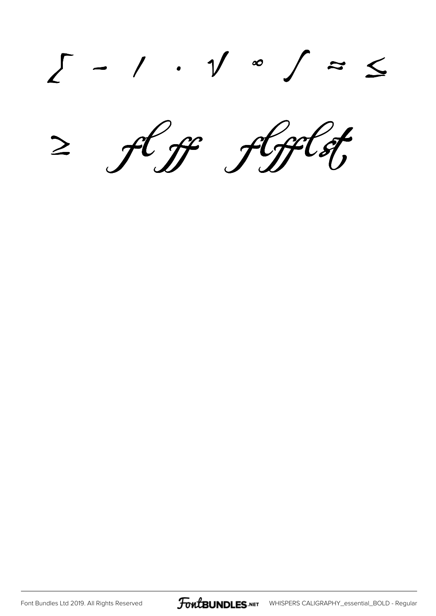**∑ − ∕ ∙ √ ∞ ∫ ≈ ≤ ≥ ff flfflst**

[Font Bundles Ltd 2019. All Rights Reserved](https://fontbundles.net/) **FoutBUNDLES.NET** [WHISPERS CALIGRAPHY\\_essential\\_BOLD - Regular](https://fontbundles.net/)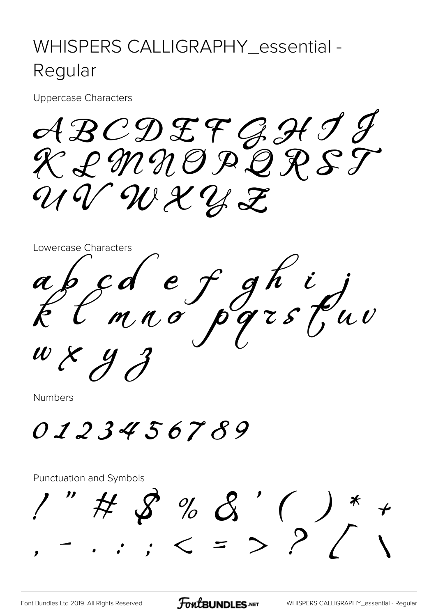## WHISPERS CALLIGRAPHY\_essential -Regular

**Uppercase Characters** 

ABCDEFGHJJ<br>KLMNOPQRST UVWXYZ



**Numbers** 

0123456789

#### Punctuation and Symbols

"#8%8'()\*+<br>-... < = > ? /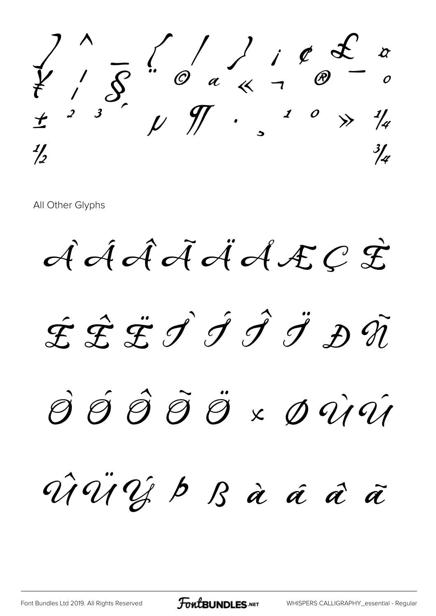

AÁÃÃÁAÆÇÊ

ÉÊËJJJJDŨ

SŚŜÕÖ×DÙÚ

ViViJb B à á à ã

**FoutBUNDLES.NET**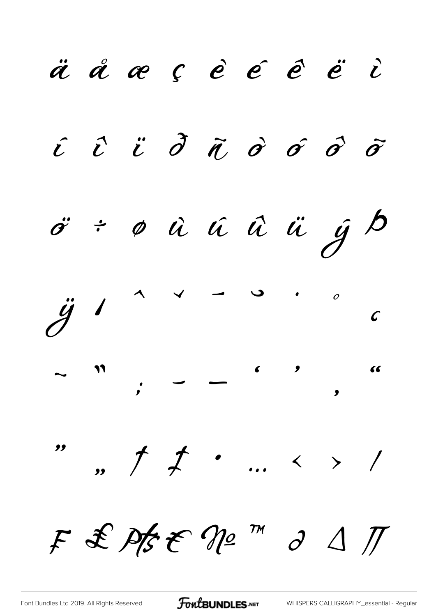ä å æ ç è é é ë i  $\hat{c}$   $\hat{c}$   $\hat{c}$   $\hat{\sigma}$   $\hat{\sigma}$   $\hat{\sigma}$   $\hat{\sigma}$   $\hat{\sigma}$  $\ddot{\sigma}$  ÷  $\phi$   $\dot{u}$   $\dot{u}$   $\ddot{u}$   $\ddot{u}$   $\dot{y}$   $\dot{\beta}$  $\ddot{g}$  $\overline{\phantom{a}}$  $\overline{O}$  $\mathcal{C}$ ,,  $\uparrow$   $\downarrow$  ... < > / " F & Pfst Nº m d 1 /

FontBUNDLES.NET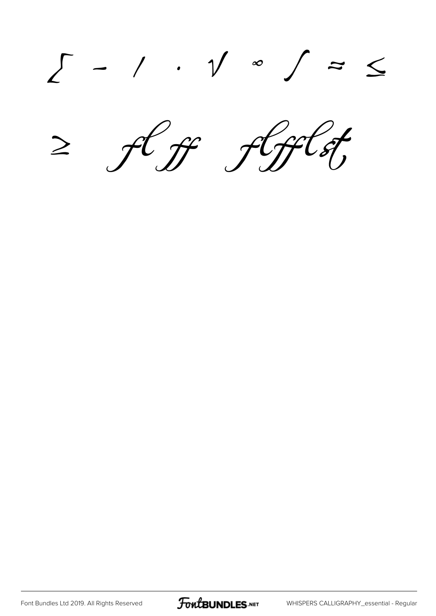∑ − ∕ ∙ √ ∞ ∫ ≈ ≤ ≥ ff flfflst

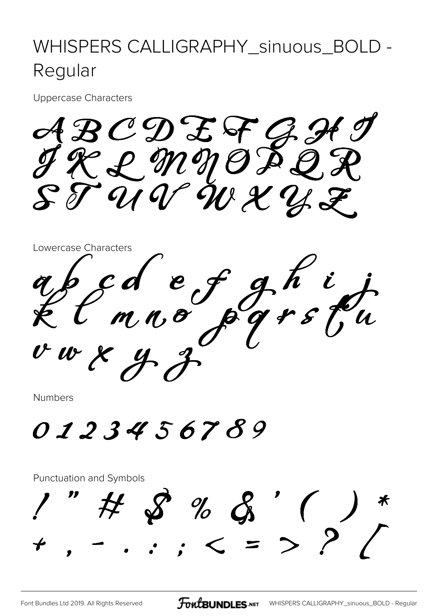## WHISPERS CALLIGRAPHY\_sinuous\_BOLD -Regular

**Uppercase Characters** 

ABCDEFGH<br>TRLM90PQA  $\mathcal{S} \mathcal{T} \bar{\mathcal{U}} \mathcal{U} \mathcal{U} \mathcal{U} \mathcal{X} \mathcal{U} \mathcal{J}$ 



**Numbers** 

0123456789

#### Punctuation and Symbols

 $%$   $\&$  (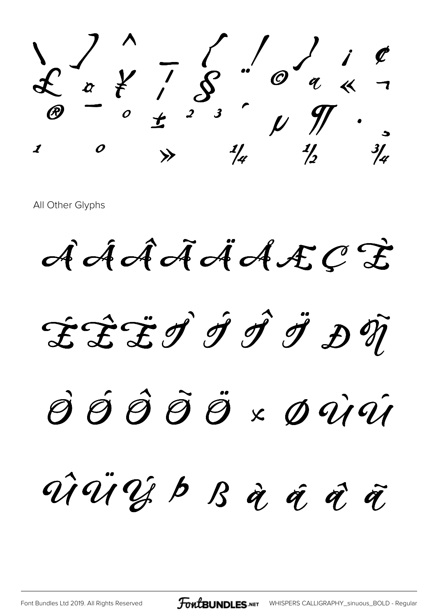$\sum_{\emptyset}$   $\begin{matrix} 1 & 1 & 1 \\ 1 & 1 & 1 \\ 1 & 1 & 1 \end{matrix}$   $\sum_{\emptyset}$   $\sum_{\emptyset}$   $\sum_{\emptyset}$   $\sum_{\emptyset}$   $\sum_{\emptyset}$   $\sum_{\emptyset}$   $\sum_{\emptyset}$   $\sum_{\emptyset}$   $\sum_{\emptyset}$   $\sum_{\emptyset}$   $\sum_{\emptyset}$   $\sum_{\emptyset}$   $\sum_{\emptyset}$   $\sum_{\emptyset}$   $\sum_{\emptyset}$   $\sum_{\emptyset}$   $\sum_{\emptyset}$   $\$ 

AAAAAAAECE

**EÊËÎ Î Î Î Ä ĐŨ** 

SÓÔÕÖרÛÛ

Muies p B à a d'â

**FoutBUNDLES.NET** WHISPERS CALLIGRAPHY\_sinuous\_BOLD - Regular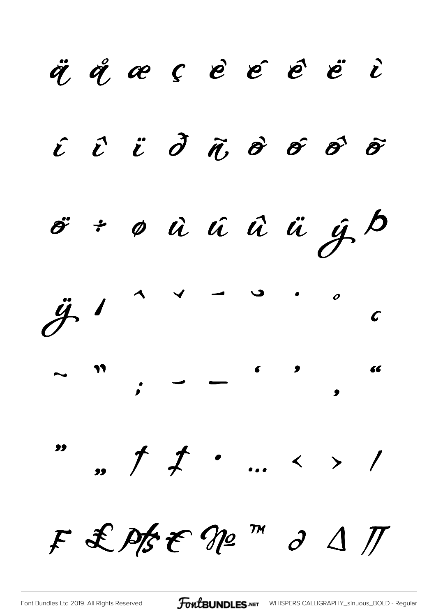ä å æ ç è é é ë i  $\hat{i}$   $\hat{i}$   $\hat{d}$   $\hat{n}$   $\hat{\sigma}$   $\hat{\sigma}$   $\hat{\sigma}$ o<sup>v</sup>: o û û û ü y b  $\ddot{\mathcal{J}}$  $\sim$   $\sim$  $\boldsymbol{o}$  $\boldsymbol{\mathcal{C}}$  $\int f$  ... < > / F & Pfst Nº m d 1 I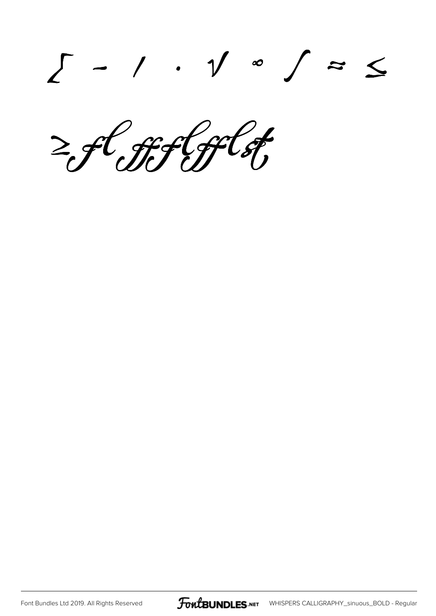**∑ − ∕ ∙ √ ∞ ∫ ≈ ≤**

**≥ffflfflst**

[Font Bundles Ltd 2019. All Rights Reserved](https://fontbundles.net/) **FoutBUNDLES.NET** [WHISPERS CALLIGRAPHY\\_sinuous\\_BOLD - Regular](https://fontbundles.net/)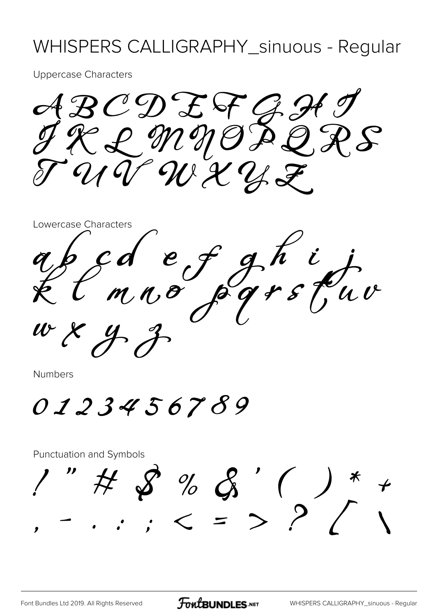#### WHISPERS CALLIGRAPHY\_sinuous - Regular

**Uppercase Characters** 

ABCDEFGH  $\mathcal{E}$ UT WXYZ

Lowercase Characters cd ef ghij<br>mno pgrstuv

**Numbers** 

0123456789

**Punctuation and Symbols**  $\begin{array}{ccccccccc} \text{''} & \text{#} & \text{~} & \text{''} & \text{~} & \text{~} & \text{~} & \text{~} & \text{~} & \text{~} & \text{~} & \text{~} & \text{~} & \text{~} & \text{~} & \text{~} & \text{~} & \text{~} & \text{~} & \text{~} & \text{~} & \text{~} & \text{~} & \text{~} & \text{~} & \text{~} & \text{~} & \text{~} & \text{~} & \text{~} & \text{~} & \text{~} & \text{~} & \text{~} & \text{~} & \$ 

**FoutBUNDLES**.NET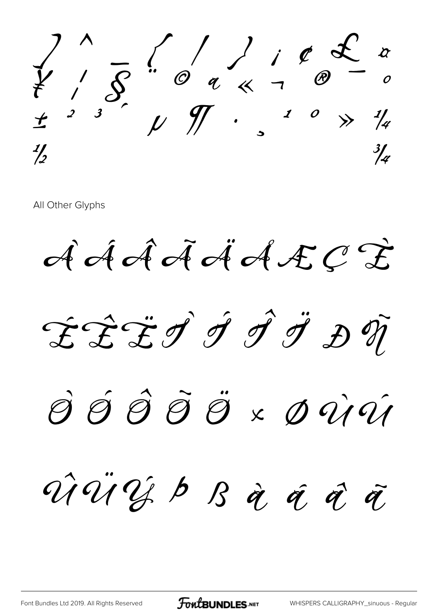

AAAAAAAECE

ÉÊËÎ Î Î Î Ä ĐŨ

SŚŜÕÖ×DÙÚ

ViViJb B à á à à

**FoutBUNDLES.NET**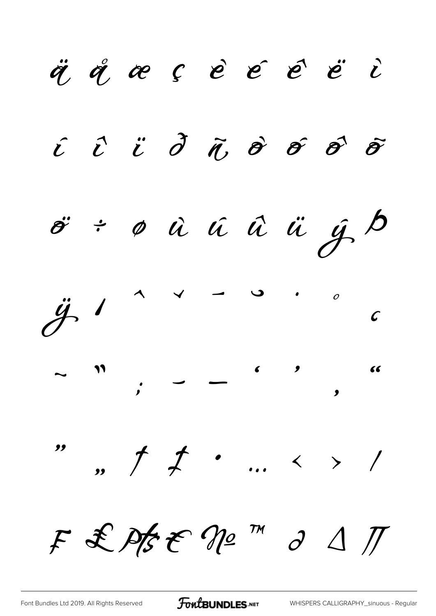ä å æ ç è é é ë i  $\hat{i}$   $\hat{c}$   $\hat{c}$   $\hat{d}$   $\hat{d}$   $\hat{\theta}$   $\hat{\theta}$   $\hat{\theta}$   $\hat{\theta}$  $\ddot{\sigma}$  ÷  $\phi$   $\dot{a}$   $\dot{a}$   $\ddot{a}$   $\ddot{a}$   $\dot{y}$   $\dot{\beta}$  $\ddot{\mathcal{J}}$  $\sim$   $\sim$  $\overline{O}$  $\mathcal{C}$ ",  $\uparrow$   $\downarrow$  ... < > / "  $F$  & Pts & No  $m$  d  $\Delta H$ 

FontBUNDLES.NET